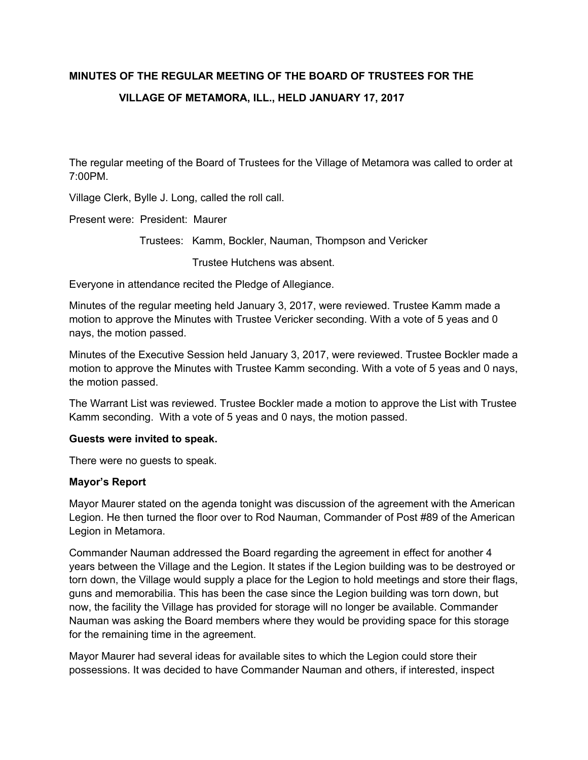# **MINUTES OF THE REGULAR MEETING OF THE BOARD OF TRUSTEES FOR THE VILLAGE OF METAMORA, ILL., HELD JANUARY 17, 2017**

The regular meeting of the Board of Trustees for the Village of Metamora was called to order at 7:00PM.

Village Clerk, Bylle J. Long, called the roll call.

Present were: President: Maurer

Trustees: Kamm, Bockler, Nauman, Thompson and Vericker

Trustee Hutchens was absent.

Everyone in attendance recited the Pledge of Allegiance.

Minutes of the regular meeting held January 3, 2017, were reviewed. Trustee Kamm made a motion to approve the Minutes with Trustee Vericker seconding. With a vote of 5 yeas and 0 nays, the motion passed.

Minutes of the Executive Session held January 3, 2017, were reviewed. Trustee Bockler made a motion to approve the Minutes with Trustee Kamm seconding. With a vote of 5 yeas and 0 nays, the motion passed.

The Warrant List was reviewed. Trustee Bockler made a motion to approve the List with Trustee Kamm seconding. With a vote of 5 yeas and 0 nays, the motion passed.

#### **Guests were invited to speak.**

There were no guests to speak.

#### **Mayor's Report**

Mayor Maurer stated on the agenda tonight was discussion of the agreement with the American Legion. He then turned the floor over to Rod Nauman, Commander of Post #89 of the American Legion in Metamora.

Commander Nauman addressed the Board regarding the agreement in effect for another 4 years between the Village and the Legion. It states if the Legion building was to be destroyed or torn down, the Village would supply a place for the Legion to hold meetings and store their flags, guns and memorabilia. This has been the case since the Legion building was torn down, but now, the facility the Village has provided for storage will no longer be available. Commander Nauman was asking the Board members where they would be providing space for this storage for the remaining time in the agreement.

Mayor Maurer had several ideas for available sites to which the Legion could store their possessions. It was decided to have Commander Nauman and others, if interested, inspect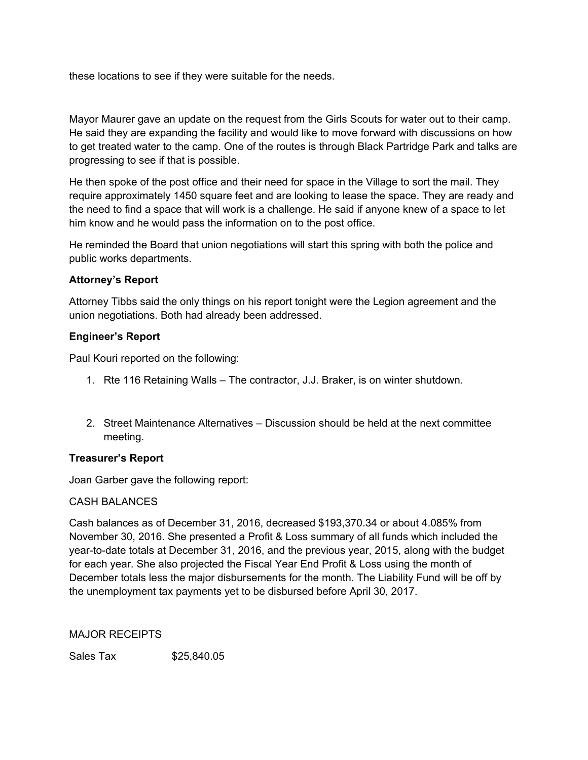these locations to see if they were suitable for the needs.

Mayor Maurer gave an update on the request from the Girls Scouts for water out to their camp. He said they are expanding the facility and would like to move forward with discussions on how to get treated water to the camp. One of the routes is through Black Partridge Park and talks are progressing to see if that is possible.

He then spoke of the post office and their need for space in the Village to sort the mail. They require approximately 1450 square feet and are looking to lease the space. They are ready and the need to find a space that will work is a challenge. He said if anyone knew of a space to let him know and he would pass the information on to the post office.

He reminded the Board that union negotiations will start this spring with both the police and public works departments.

## **Attorney's Report**

Attorney Tibbs said the only things on his report tonight were the Legion agreement and the union negotiations. Both had already been addressed.

# **Engineer's Report**

Paul Kouri reported on the following:

- 1. Rte 116 Retaining Walls The contractor, J.J. Braker, is on winter shutdown.
- 2. Street Maintenance Alternatives Discussion should be held at the next committee meeting.

## **Treasurer's Report**

Joan Garber gave the following report:

## CASH BALANCES

Cash balances as of December 31, 2016, decreased \$193,370.34 or about 4.085% from November 30, 2016. She presented a Profit & Loss summary of all funds which included the year-to-date totals at December 31, 2016, and the previous year, 2015, along with the budget for each year. She also projected the Fiscal Year End Profit & Loss using the month of December totals less the major disbursements for the month. The Liability Fund will be off by the unemployment tax payments yet to be disbursed before April 30, 2017.

MAJOR RECEIPTS

Sales Tax \$25,840.05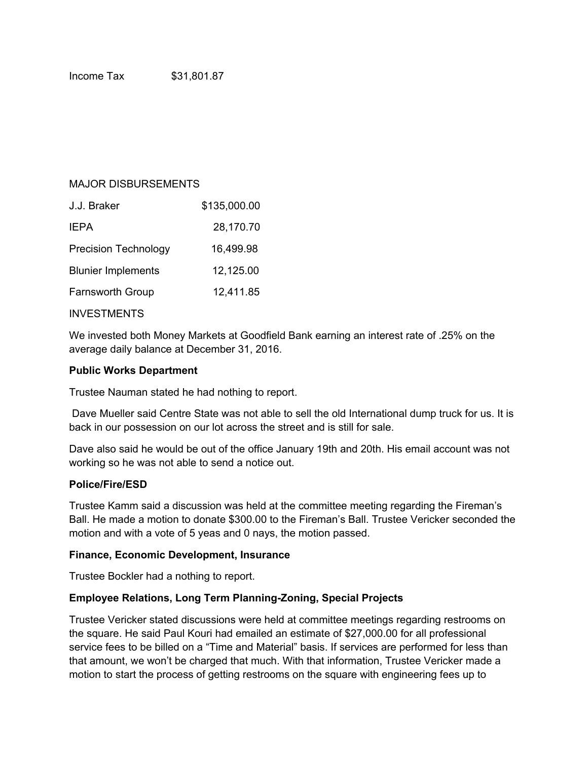## MAJOR DISBURSEMENTS

| J.J. Braker                 | \$135,000.00 |
|-----------------------------|--------------|
| <b>IEPA</b>                 | 28,170.70    |
| <b>Precision Technology</b> | 16,499.98    |
| <b>Blunier Implements</b>   | 12,125.00    |
| <b>Farnsworth Group</b>     | 12,411.85    |
|                             |              |

#### INVESTMENTS

We invested both Money Markets at Goodfield Bank earning an interest rate of .25% on the average daily balance at December 31, 2016.

#### **Public Works Department**

Trustee Nauman stated he had nothing to report.

 Dave Mueller said Centre State was not able to sell the old International dump truck for us. It is back in our possession on our lot across the street and is still for sale.

Dave also said he would be out of the office January 19th and 20th. His email account was not working so he was not able to send a notice out.

#### **Police/Fire/ESD**

Trustee Kamm said a discussion was held at the committee meeting regarding the Fireman's Ball. He made a motion to donate \$300.00 to the Fireman's Ball. Trustee Vericker seconded the motion and with a vote of 5 yeas and 0 nays, the motion passed.

## **Finance, Economic Development, Insurance**

Trustee Bockler had a nothing to report.

## **Employee Relations, Long Term Planning-Zoning, Special Projects**

Trustee Vericker stated discussions were held at committee meetings regarding restrooms on the square. He said Paul Kouri had emailed an estimate of \$27,000.00 for all professional service fees to be billed on a "Time and Material" basis. If services are performed for less than that amount, we won't be charged that much. With that information, Trustee Vericker made a motion to start the process of getting restrooms on the square with engineering fees up to